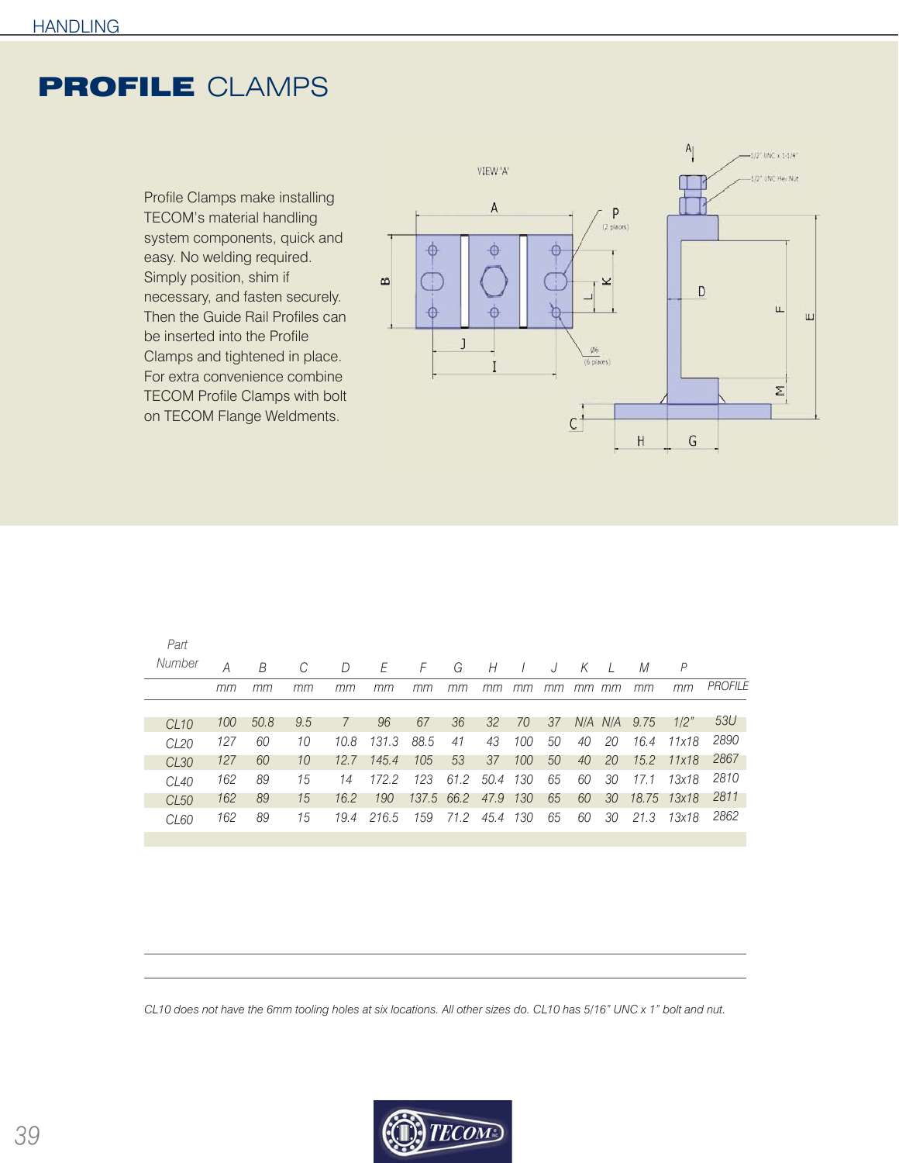## PROFILE CLAMPS

Profile Clamps make installing TECOM's material handling system components, quick and easy. No welding required. Simply position, shim if necessary, and fasten securely. Then the Guide Rail Profiles can be inserted into the Profile Clamps and tightened in place. For extra convenience combine TECOM Profile Clamps with bolt on TECOM Flange Weldments.



| Part             |     |      |     |               |       |            |      |            |     |    |    |          |              |             |                |
|------------------|-----|------|-----|---------------|-------|------------|------|------------|-----|----|----|----------|--------------|-------------|----------------|
| Number           | А   | B    |     | D             | E     | F          | G    | Н          |     | J  | К  | $\prime$ | М            | P           |                |
|                  | mm  | mm   | mm  | тm            | тm    | mm         | mm   | mm         | mm  | тm | mm | mm       | mm           | mm          | <b>PROFILE</b> |
|                  |     |      |     |               |       |            |      |            |     |    |    |          |              |             |                |
| $CI$ 10          | 100 | 50.8 | 9.5 | $\mathcal{I}$ | 96    | 67         | 36   | 32         | 70  | 37 |    |          | N/A N/A 9.75 | 1/2"        | 53U            |
| CL <sub>20</sub> | 127 | 60   | 10  | 10.8          | 131.3 | 88.5       | 41   | 43         | 100 | 50 | 40 | 20       | 16.4         | 11x18       | 2890           |
| CL30             | 127 | 60   | 10  | 12.7          | 145.4 | 105        | 53   | 37         | 100 | 50 | 40 | 20       | 15.2         | 11x18       | 2867           |
| $CI$ 40          | 162 | 89   | 15  | 14            | 172.2 | 123        | 61.2 | $50.4$ 130 |     | 65 | 60 | 30       | 17.1         | 13x18       | 2810           |
| CL50             | 162 | 89   | 15  | 16.2          | 190   | 137.5 66.2 |      | 47.9       | 130 | 65 | 60 | 30       |              | 18.75 13x18 | 2811           |
| CL <sub>60</sub> | 162 | 89   | 15  | 19.4          | 216.5 | 159        | 71.2 | 45.4 130   |     | 65 | 60 | 30       | 21.3         | 13x18       | 2862           |

*CL10 does not have the 6mm tooling holes at six locations. All other sizes do. CL10 has 5/16" UNC x 1" bolt and nut.*